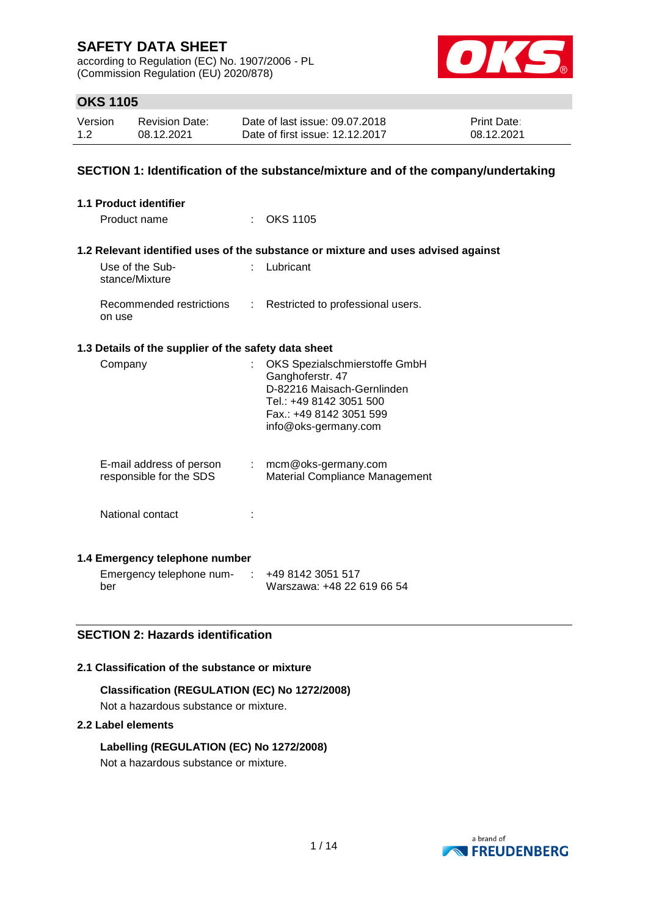according to Regulation (EC) No. 1907/2006 - PL (Commission Regulation (EU) 2020/878)



# **OKS 1105**

| Version | <b>Revision Date:</b> | Date of last issue: 09.07.2018  | <b>Print Date:</b> |
|---------|-----------------------|---------------------------------|--------------------|
| 1.2     | 08.12.2021            | Date of first issue: 12.12.2017 | 08.12.2021         |

# **SECTION 1: Identification of the substance/mixture and of the company/undertaking**

| 1.1 Product identifier                               |                                                                                                                                                               |
|------------------------------------------------------|---------------------------------------------------------------------------------------------------------------------------------------------------------------|
| Product name                                         | <b>OKS 1105</b>                                                                                                                                               |
|                                                      | 1.2 Relevant identified uses of the substance or mixture and uses advised against                                                                             |
| Use of the Sub-<br>stance/Mixture                    | $:$ Lubricant                                                                                                                                                 |
| Recommended restrictions<br>on use                   | : Restricted to professional users.                                                                                                                           |
| 1.3 Details of the supplier of the safety data sheet |                                                                                                                                                               |
| Company                                              | OKS Spezialschmierstoffe GmbH<br>Ganghoferstr. 47<br>D-82216 Maisach-Gernlinden<br>Tel.: +49 8142 3051 500<br>Fax.: +49 8142 3051 599<br>info@oks-germany.com |
| E-mail address of person<br>responsible for the SDS  | $:$ mcm@oks-germany.com<br>Material Compliance Management                                                                                                     |
| National contact                                     |                                                                                                                                                               |
| 1.4 Emergency telephone number                       |                                                                                                                                                               |
| Emergency telephone num-                             | +49 8142 3051 517                                                                                                                                             |

# **SECTION 2: Hazards identification**

#### **2.1 Classification of the substance or mixture**

**Classification (REGULATION (EC) No 1272/2008)** Not a hazardous substance or mixture.

#### **2.2 Label elements**

ber

**Labelling (REGULATION (EC) No 1272/2008)** Not a hazardous substance or mixture.



Warszawa: +48 22 619 66 54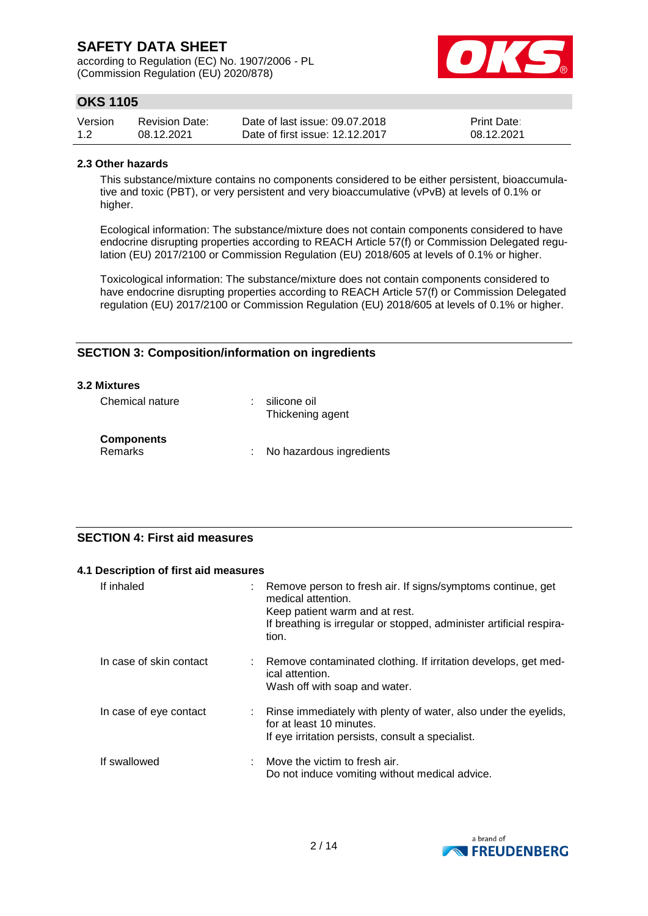according to Regulation (EC) No. 1907/2006 - PL (Commission Regulation (EU) 2020/878)



# **OKS 1105**

| Version | <b>Revision Date:</b> | Date of last issue: 09.07.2018  | <b>Print Date:</b> |
|---------|-----------------------|---------------------------------|--------------------|
| 1.2     | 08.12.2021            | Date of first issue: 12.12.2017 | 08.12.2021         |

#### **2.3 Other hazards**

This substance/mixture contains no components considered to be either persistent, bioaccumulative and toxic (PBT), or very persistent and very bioaccumulative (vPvB) at levels of 0.1% or higher.

Ecological information: The substance/mixture does not contain components considered to have endocrine disrupting properties according to REACH Article 57(f) or Commission Delegated regulation (EU) 2017/2100 or Commission Regulation (EU) 2018/605 at levels of 0.1% or higher.

Toxicological information: The substance/mixture does not contain components considered to have endocrine disrupting properties according to REACH Article 57(f) or Commission Delegated regulation (EU) 2017/2100 or Commission Regulation (EU) 2018/605 at levels of 0.1% or higher.

# **SECTION 3: Composition/information on ingredients**

#### **3.2 Mixtures**

| Chemical nature                     | silicone oil<br>Thickening agent |
|-------------------------------------|----------------------------------|
| <b>Components</b><br><b>Remarks</b> | : No hazardous ingredients       |

# **SECTION 4: First aid measures**

| 4.1 Description of first aid measures |                                                                                                                                                                                                      |
|---------------------------------------|------------------------------------------------------------------------------------------------------------------------------------------------------------------------------------------------------|
| If inhaled<br>÷                       | Remove person to fresh air. If signs/symptoms continue, get<br>medical attention.<br>Keep patient warm and at rest.<br>If breathing is irregular or stopped, administer artificial respira-<br>tion. |
| In case of skin contact               | Remove contaminated clothing. If irritation develops, get med-<br>ical attention.<br>Wash off with soap and water.                                                                                   |
| In case of eye contact                | Rinse immediately with plenty of water, also under the eyelids,<br>for at least 10 minutes.<br>If eye irritation persists, consult a specialist.                                                     |
| If swallowed                          | Move the victim to fresh air.<br>Do not induce vomiting without medical advice.                                                                                                                      |

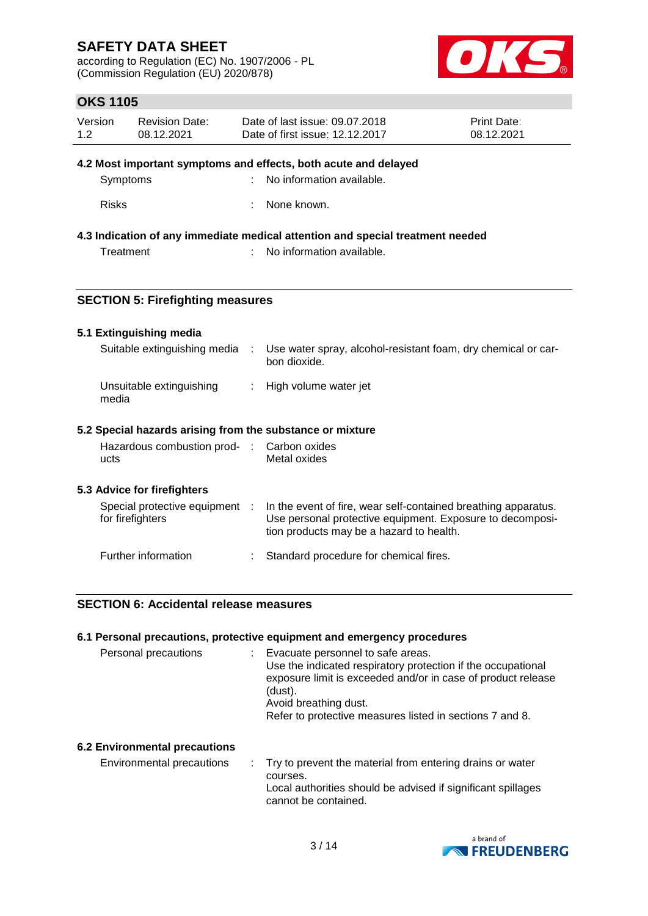according to Regulation (EC) No. 1907/2006 - PL (Commission Regulation (EU) 2020/878)



# **OKS 1105**

| Version | Revision Date: | Date of last issue: 09.07.2018  | <b>Print Date:</b> |
|---------|----------------|---------------------------------|--------------------|
| 1.2     | 08.12.2021     | Date of first issue: 12.12.2017 | 08.12.2021         |

#### **4.2 Most important symptoms and effects, both acute and delayed**

| Symptoms | No information available. |
|----------|---------------------------|
|          |                           |

Risks : None known.

# **4.3 Indication of any immediate medical attention and special treatment needed**

Treatment : No information available.

# **SECTION 5: Firefighting measures**

#### **5.1 Extinguishing media**

| Suitable extinguishing media      | Use water spray, alcohol-resistant foam, dry chemical or car-<br>bon dioxide. |
|-----------------------------------|-------------------------------------------------------------------------------|
| Unsuitable extinguishing<br>media | : High volume water jet                                                       |

## **5.2 Special hazards arising from the substance or mixture**

|      | Hazardous combustion prod- : Carbon oxides |              |
|------|--------------------------------------------|--------------|
| ucts |                                            | Metal oxides |

## **5.3 Advice for firefighters**

| Special protective equipment<br>for firefighters |  | In the event of fire, wear self-contained breathing apparatus.<br>Use personal protective equipment. Exposure to decomposi-<br>tion products may be a hazard to health. |  |
|--------------------------------------------------|--|-------------------------------------------------------------------------------------------------------------------------------------------------------------------------|--|
| Further information                              |  | : Standard procedure for chemical fires.                                                                                                                                |  |

# **SECTION 6: Accidental release measures**

## **6.1 Personal precautions, protective equipment and emergency procedures**

| Personal precautions                 | : Evacuate personnel to safe areas.<br>Use the indicated respiratory protection if the occupational<br>exposure limit is exceeded and/or in case of product release<br>(dust).<br>Avoid breathing dust.<br>Refer to protective measures listed in sections 7 and 8. |
|--------------------------------------|---------------------------------------------------------------------------------------------------------------------------------------------------------------------------------------------------------------------------------------------------------------------|
| <b>6.2 Environmental precautions</b> |                                                                                                                                                                                                                                                                     |

Environmental precautions : Try to prevent the material from entering drains or water courses. Local authorities should be advised if significant spillages cannot be contained.

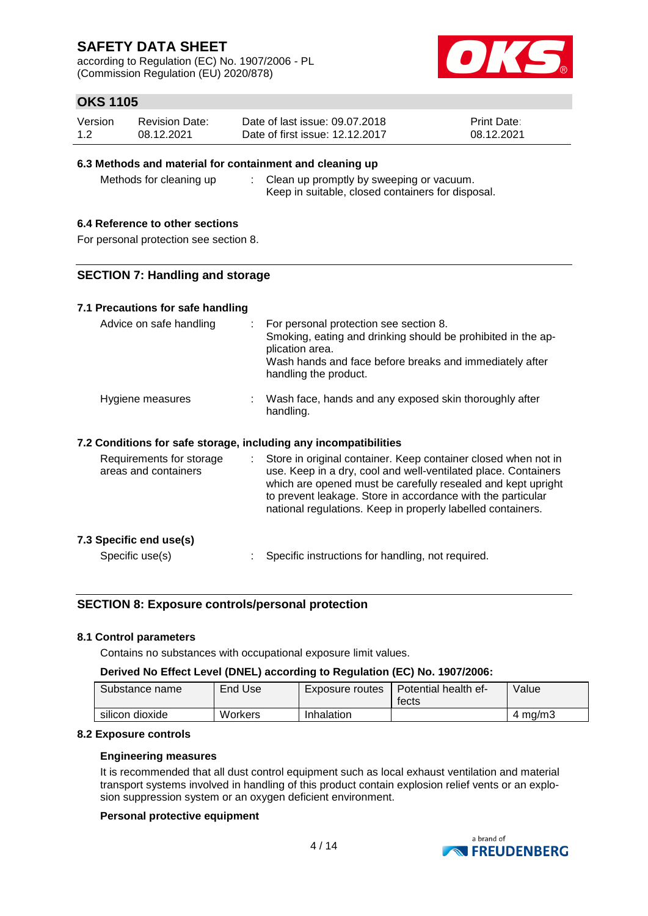according to Regulation (EC) No. 1907/2006 - PL (Commission Regulation (EU) 2020/878)



# **OKS 1105**

| Version | <b>Revision Date:</b> | Date of last issue: 09.07.2018  | <b>Print Date:</b> |
|---------|-----------------------|---------------------------------|--------------------|
| 1.2     | 08.12.2021            | Date of first issue: 12.12.2017 | 08.12.2021         |

## **6.3 Methods and material for containment and cleaning up**

Methods for cleaning up : Clean up promptly by sweeping or vacuum. Keep in suitable, closed containers for disposal.

## **6.4 Reference to other sections**

For personal protection see section 8.

## **SECTION 7: Handling and storage**

## **7.1 Precautions for safe handling**

| Advice on safe handling                                          |    | : For personal protection see section 8.<br>Smoking, eating and drinking should be prohibited in the ap-<br>plication area.<br>Wash hands and face before breaks and immediately after<br>handling the product.                                                                                                                |
|------------------------------------------------------------------|----|--------------------------------------------------------------------------------------------------------------------------------------------------------------------------------------------------------------------------------------------------------------------------------------------------------------------------------|
| Hygiene measures                                                 |    | : Wash face, hands and any exposed skin thoroughly after<br>handling.                                                                                                                                                                                                                                                          |
| 7.2 Conditions for safe storage, including any incompatibilities |    |                                                                                                                                                                                                                                                                                                                                |
| Requirements for storage<br>areas and containers                 | t. | Store in original container. Keep container closed when not in<br>use. Keep in a dry, cool and well-ventilated place. Containers<br>which are opened must be carefully resealed and kept upright<br>to prevent leakage. Store in accordance with the particular<br>national regulations. Keep in properly labelled containers. |
| 7.3 Specific end use(s)                                          |    |                                                                                                                                                                                                                                                                                                                                |

Specific use(s)  $\qquad \qquad$ : Specific instructions for handling, not required.

## **SECTION 8: Exposure controls/personal protection**

#### **8.1 Control parameters**

Contains no substances with occupational exposure limit values.

## **Derived No Effect Level (DNEL) according to Regulation (EC) No. 1907/2006:**

| Substance name  | End Use | Exposure routes | Potential health ef-<br>tects | Value   |
|-----------------|---------|-----------------|-------------------------------|---------|
| silicon dioxide | Workers | Inhalation      |                               | 4 ma/m3 |

#### **8.2 Exposure controls**

#### **Engineering measures**

It is recommended that all dust control equipment such as local exhaust ventilation and material transport systems involved in handling of this product contain explosion relief vents or an explosion suppression system or an oxygen deficient environment.

#### **Personal protective equipment**

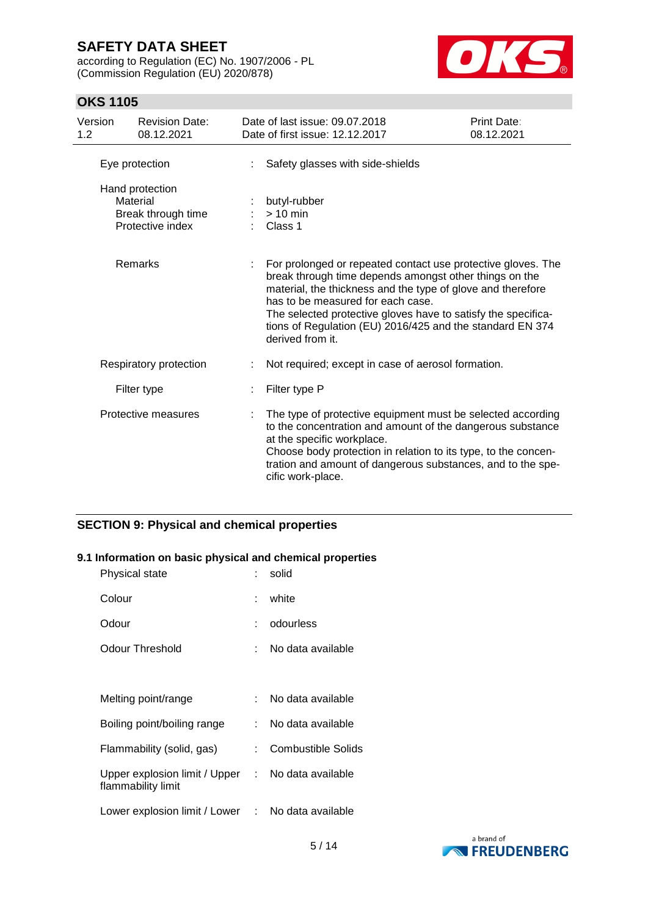according to Regulation (EC) No. 1907/2006 - PL (Commission Regulation (EU) 2020/878)



# **OKS 1105**

| Version<br>1.2 | <b>Revision Date:</b><br>08.12.2021                                   | Date of last issue: 09.07.2018<br>Date of first issue: 12.12.2017                                                                                                                                                                                                                                                                                                            | Print Date:<br>08.12.2021 |
|----------------|-----------------------------------------------------------------------|------------------------------------------------------------------------------------------------------------------------------------------------------------------------------------------------------------------------------------------------------------------------------------------------------------------------------------------------------------------------------|---------------------------|
|                | Eye protection                                                        | Safety glasses with side-shields                                                                                                                                                                                                                                                                                                                                             |                           |
|                | Hand protection<br>Material<br>Break through time<br>Protective index | butyl-rubber<br>$> 10$ min<br>Class 1                                                                                                                                                                                                                                                                                                                                        |                           |
|                | Remarks                                                               | For prolonged or repeated contact use protective gloves. The<br>break through time depends amongst other things on the<br>material, the thickness and the type of glove and therefore<br>has to be measured for each case.<br>The selected protective gloves have to satisfy the specifica-<br>tions of Regulation (EU) 2016/425 and the standard EN 374<br>derived from it. |                           |
|                | Respiratory protection                                                | Not required; except in case of aerosol formation.                                                                                                                                                                                                                                                                                                                           |                           |
|                | Filter type                                                           | Filter type P                                                                                                                                                                                                                                                                                                                                                                |                           |
|                | Protective measures                                                   | The type of protective equipment must be selected according<br>to the concentration and amount of the dangerous substance<br>at the specific workplace.<br>Choose body protection in relation to its type, to the concen-<br>tration and amount of dangerous substances, and to the spe-<br>cific work-place.                                                                |                           |

# **SECTION 9: Physical and chemical properties**

# **9.1 Information on basic physical and chemical properties**

|                                 | solid                                             |
|---------------------------------|---------------------------------------------------|
|                                 | white                                             |
|                                 | odourless                                         |
|                                 | No data available                                 |
|                                 |                                                   |
|                                 | No data available                                 |
| <b>.</b>                        | No data available                                 |
| t.                              | <b>Combustible Solids</b>                         |
| Upper explosion limit / Upper : | No data available                                 |
|                                 | Lower explosion limit / Lower : No data available |
|                                 |                                                   |

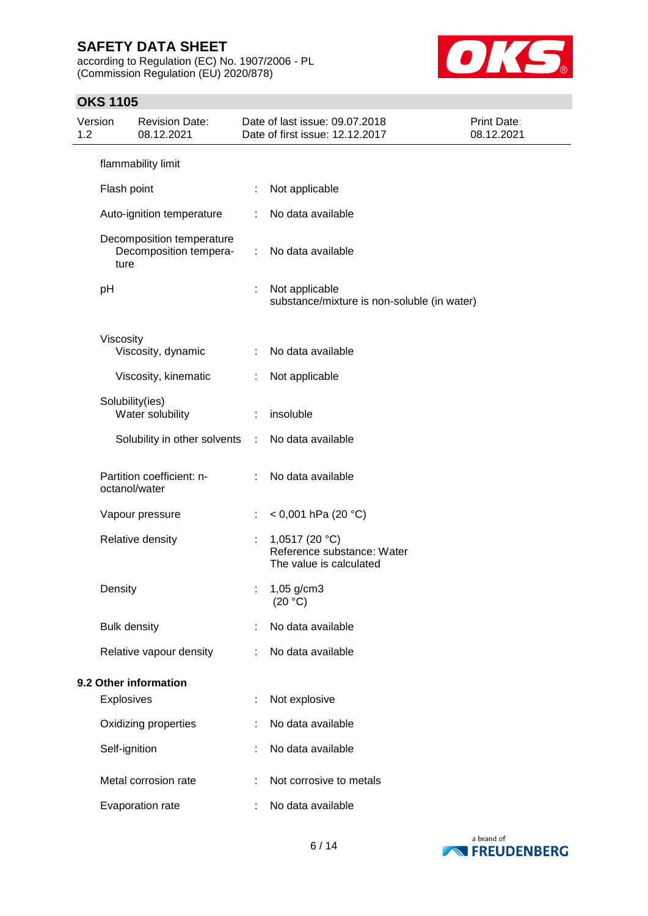according to Regulation (EC) No. 1907/2006 - PL (Commission Regulation (EU) 2020/878)



# **OKS 1105**

| 1.2 | Version             | <b>Revision Date:</b><br>08.12.2021                 |   | Date of last issue: 09.07.2018<br>Print Date:<br>Date of first issue: 12.12.2017<br>08.12.2021 |  |
|-----|---------------------|-----------------------------------------------------|---|------------------------------------------------------------------------------------------------|--|
|     |                     | flammability limit                                  |   |                                                                                                |  |
|     | Flash point         |                                                     |   | Not applicable                                                                                 |  |
|     |                     | Auto-ignition temperature                           |   | No data available                                                                              |  |
|     | ture                | Decomposition temperature<br>Decomposition tempera- | ÷ | No data available                                                                              |  |
|     | pH                  |                                                     |   | Not applicable<br>substance/mixture is non-soluble (in water)                                  |  |
|     | Viscosity           | Viscosity, dynamic                                  |   | No data available                                                                              |  |
|     |                     | Viscosity, kinematic                                | ÷ | Not applicable                                                                                 |  |
|     |                     | Solubility(ies)<br>Water solubility                 | ÷ | insoluble                                                                                      |  |
|     |                     | Solubility in other solvents                        | ÷ | No data available                                                                              |  |
|     |                     | Partition coefficient: n-<br>octanol/water          |   | No data available                                                                              |  |
|     |                     | Vapour pressure                                     |   | < 0,001 hPa (20 °C)                                                                            |  |
|     |                     | Relative density                                    | ÷ | 1,0517 (20 °C)<br>Reference substance: Water<br>The value is calculated                        |  |
|     | Density             |                                                     |   | 1,05 g/cm3<br>(20 °C)                                                                          |  |
|     | <b>Bulk density</b> |                                                     |   | No data available                                                                              |  |
|     |                     | Relative vapour density                             |   | No data available                                                                              |  |
|     |                     | 9.2 Other information                               |   |                                                                                                |  |
|     | Explosives          |                                                     |   | Not explosive                                                                                  |  |
|     |                     | Oxidizing properties                                |   | No data available                                                                              |  |
|     | Self-ignition       |                                                     |   | No data available                                                                              |  |
|     |                     | Metal corrosion rate                                |   | Not corrosive to metals                                                                        |  |
|     |                     | Evaporation rate                                    |   | No data available                                                                              |  |

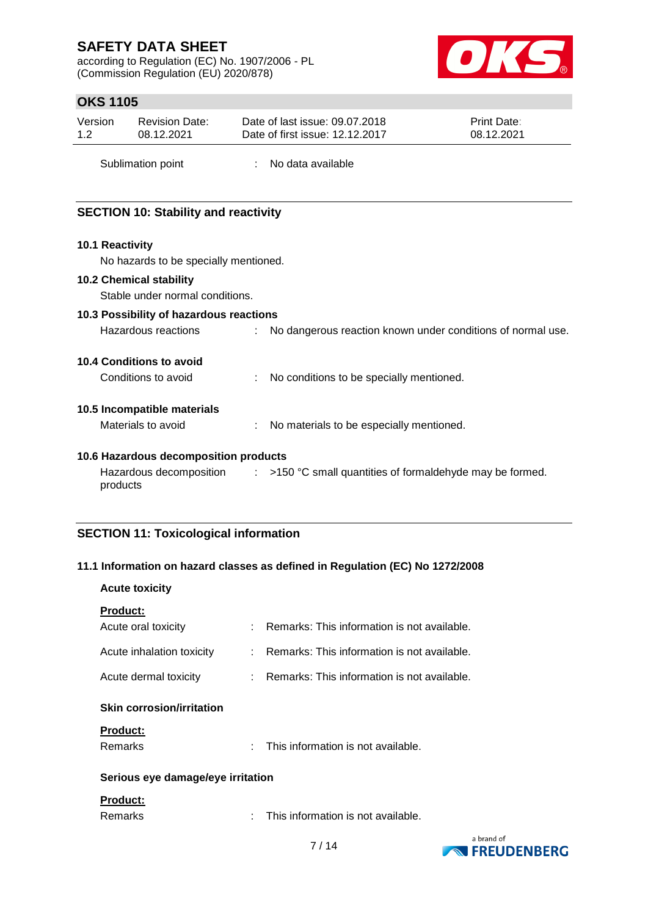according to Regulation (EC) No. 1907/2006 - PL (Commission Regulation (EU) 2020/878)



# **OKS 1105**

| Version | <b>Revision Date:</b> | Date of last issue: 09.07.2018  | <b>Print Date:</b> |
|---------|-----------------------|---------------------------------|--------------------|
| 1.2     | 08.12.2021            | Date of first issue: 12.12.2017 | 08.12.2021         |
|         |                       |                                 |                    |

Sublimation point : No data available

# **SECTION 10: Stability and reactivity**

## **10.1 Reactivity**

No hazards to be specially mentioned.

## **10.2 Chemical stability**

Stable under normal conditions.

## **10.3 Possibility of hazardous reactions**

| Hazardous reactions |  | No dangerous reaction known under conditions of normal use. |
|---------------------|--|-------------------------------------------------------------|
|---------------------|--|-------------------------------------------------------------|

## **10.4 Conditions to avoid**

Conditions to avoid : No conditions to be specially mentioned.

## **10.5 Incompatible materials**

Materials to avoid : No materials to be especially mentioned.

## **10.6 Hazardous decomposition products**

Hazardous decomposition  $\qquad : \qquad$  >150 °C small quantities of formaldehyde may be formed. products

# **SECTION 11: Toxicological information**

## **11.1 Information on hazard classes as defined in Regulation (EC) No 1272/2008**

| <b>Acute toxicity</b>             |                                               |
|-----------------------------------|-----------------------------------------------|
| <b>Product:</b>                   |                                               |
| Acute oral toxicity               | Remarks: This information is not available.   |
| Acute inhalation toxicity         | : Remarks: This information is not available. |
| Acute dermal toxicity             | : Remarks: This information is not available. |
| <b>Skin corrosion/irritation</b>  |                                               |
| <b>Product:</b>                   |                                               |
| Remarks                           | This information is not available.<br>÷       |
| Serious eye damage/eye irritation |                                               |
| <b>Product:</b>                   |                                               |
| Remarks                           | This information is not available.            |

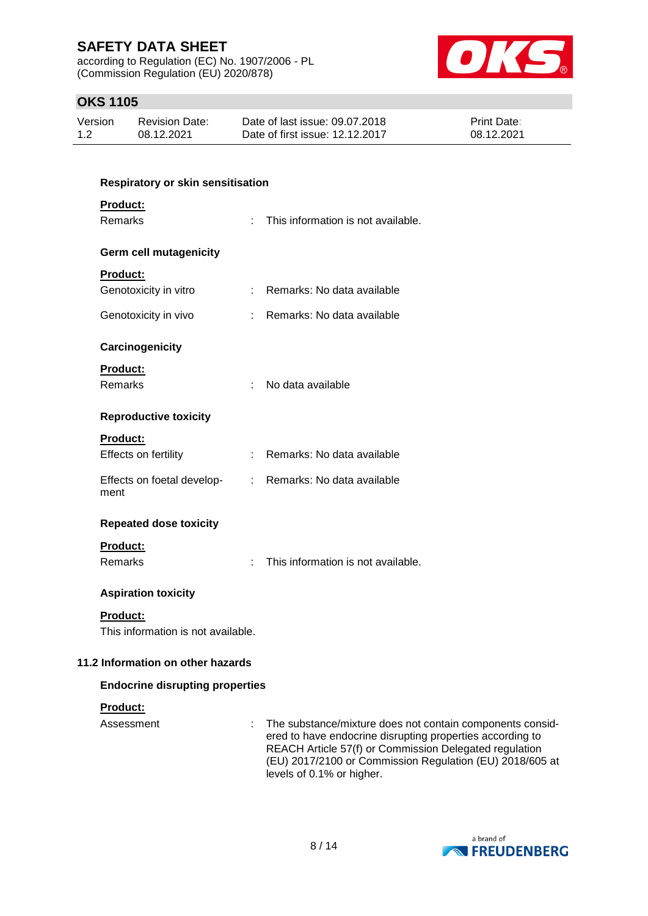according to Regulation (EC) No. 1907/2006 - PL (Commission Regulation (EU) 2020/878)



# **OKS 1105**

| Version | Revision Date: | Date of last issue: 09.07.2018  | <b>Print Date:</b> |
|---------|----------------|---------------------------------|--------------------|
| 1.2     | 08.12.2021     | Date of first issue: 12.12.2017 | 08.12.2021         |

| <b>Respiratory or skin sensitisation</b> |    |                                                                                                                                                                                                                                              |
|------------------------------------------|----|----------------------------------------------------------------------------------------------------------------------------------------------------------------------------------------------------------------------------------------------|
| Product:<br>Remarks                      | ÷. | This information is not available.                                                                                                                                                                                                           |
|                                          |    |                                                                                                                                                                                                                                              |
| <b>Germ cell mutagenicity</b>            |    |                                                                                                                                                                                                                                              |
| Product:                                 |    |                                                                                                                                                                                                                                              |
| Genotoxicity in vitro                    |    | : Remarks: No data available                                                                                                                                                                                                                 |
| Genotoxicity in vivo                     |    | Remarks: No data available                                                                                                                                                                                                                   |
| Carcinogenicity                          |    |                                                                                                                                                                                                                                              |
| Product:                                 |    |                                                                                                                                                                                                                                              |
| <b>Remarks</b>                           | t. | No data available                                                                                                                                                                                                                            |
| <b>Reproductive toxicity</b>             |    |                                                                                                                                                                                                                                              |
| <b>Product:</b>                          |    |                                                                                                                                                                                                                                              |
| Effects on fertility                     |    | : Remarks: No data available                                                                                                                                                                                                                 |
| ment                                     |    | Effects on foetal develop- : Remarks: No data available                                                                                                                                                                                      |
| <b>Repeated dose toxicity</b>            |    |                                                                                                                                                                                                                                              |
| Product:                                 |    |                                                                                                                                                                                                                                              |
| <b>Remarks</b>                           |    | This information is not available.                                                                                                                                                                                                           |
| <b>Aspiration toxicity</b>               |    |                                                                                                                                                                                                                                              |
| <b>Product:</b>                          |    |                                                                                                                                                                                                                                              |
| This information is not available.       |    |                                                                                                                                                                                                                                              |
| 11.2 Information on other hazards        |    |                                                                                                                                                                                                                                              |
| <b>Endocrine disrupting properties</b>   |    |                                                                                                                                                                                                                                              |
| <b>Product:</b>                          |    |                                                                                                                                                                                                                                              |
| Assessment                               |    | The substance/mixture does not contain components consid-<br>ered to have endocrine disrupting properties according to<br>REACH Article 57(f) or Commission Delegated regulation<br>(EU) 2017/2100 or Commission Regulation (EU) 2018/605 at |



levels of 0.1% or higher.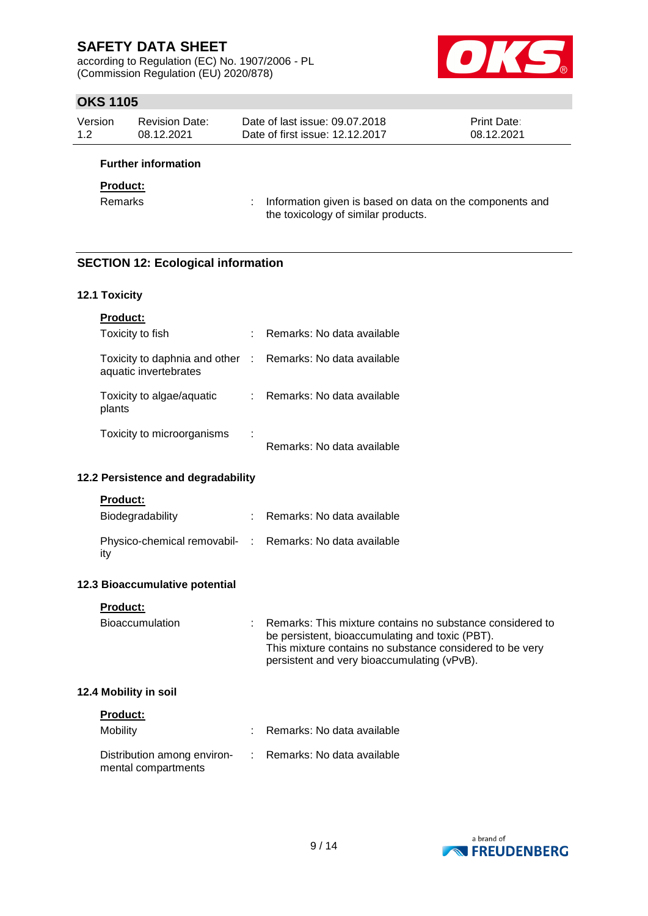according to Regulation (EC) No. 1907/2006 - PL (Commission Regulation (EU) 2020/878)



# **OKS 1105**

| Version | Revision Date: | Date of last issue: 09.07.2018  | <b>Print Date:</b> |
|---------|----------------|---------------------------------|--------------------|
| 1.2     | 08.12.2021     | Date of first issue: 12.12.2017 | 08.12.2021         |

# **Further information**

#### **Product:**

Remarks : Information given is based on data on the components and the toxicology of similar products.

# **SECTION 12: Ecological information**

#### **12.1 Toxicity**

| <b>Product:</b>                                        |   |                              |
|--------------------------------------------------------|---|------------------------------|
| Toxicity to fish                                       |   | Remarks: No data available   |
| Toxicity to daphnia and other<br>aquatic invertebrates |   | : Remarks: No data available |
| Toxicity to algae/aquatic<br>plants                    |   | Remarks: No data available   |
| Toxicity to microorganisms                             | ٠ |                              |

#### Remarks: No data available

## **12.2 Persistence and degradability**

#### **Product:**

| Biodegradability                                                | : Remarks: No data available |
|-----------------------------------------------------------------|------------------------------|
| Physico-chemical removabil- : Remarks: No data available<br>ity |                              |

## **12.3 Bioaccumulative potential**

#### **Product:**

| This mixture contains no substance considered to be very<br>persistent and very bioaccumulating (vPvB). | Bioaccumulation |  | : Remarks: This mixture contains no substance considered to<br>be persistent, bioaccumulating and toxic (PBT). |
|---------------------------------------------------------------------------------------------------------|-----------------|--|----------------------------------------------------------------------------------------------------------------|
|---------------------------------------------------------------------------------------------------------|-----------------|--|----------------------------------------------------------------------------------------------------------------|

## **12.4 Mobility in soil**

| <b>Product:</b>                                    |                              |
|----------------------------------------------------|------------------------------|
| Mobility                                           | : Remarks: No data available |
| Distribution among environ-<br>mental compartments | : Remarks: No data available |

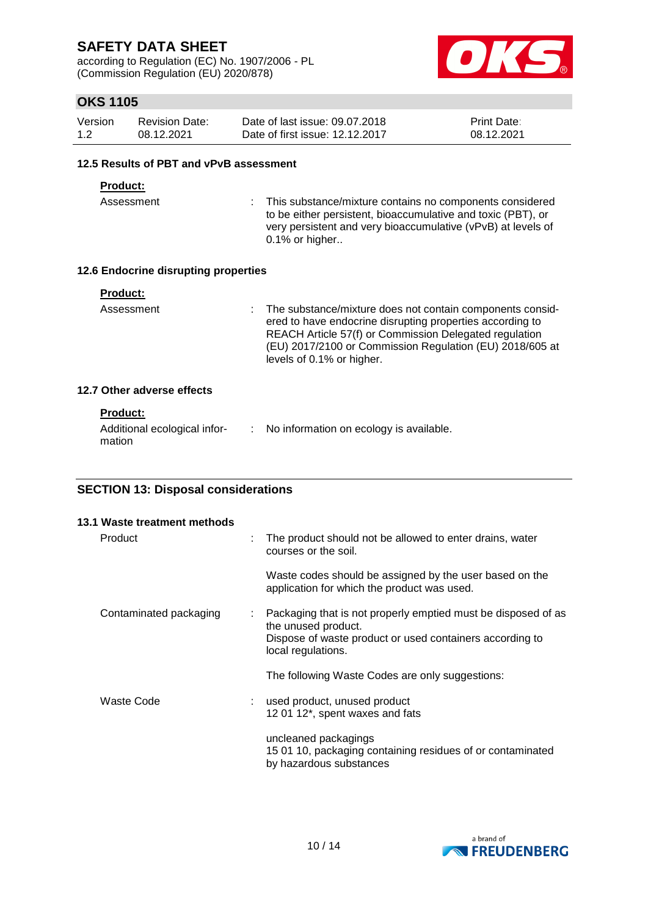according to Regulation (EC) No. 1907/2006 - PL (Commission Regulation (EU) 2020/878)



# **OKS 1105**

| Version | Revision Date: | Date of last issue: 09.07.2018  | <b>Print Date:</b> |
|---------|----------------|---------------------------------|--------------------|
| 1.2     | 08.12.2021     | Date of first issue: 12.12.2017 | 08.12.2021         |

#### **12.5 Results of PBT and vPvB assessment**

#### **Product:**

Assessment : This substance/mixture contains no components considered to be either persistent, bioaccumulative and toxic (PBT), or very persistent and very bioaccumulative (vPvB) at levels of 0.1% or higher..

## **12.6 Endocrine disrupting properties**

| Product: |  |  |  |  |
|----------|--|--|--|--|
|          |  |  |  |  |

Assessment : The substance/mixture does not contain components considered to have endocrine disrupting properties according to REACH Article 57(f) or Commission Delegated regulation (EU) 2017/2100 or Commission Regulation (EU) 2018/605 at levels of 0.1% or higher.

## **12.7 Other adverse effects**

## **Product:**

| Additional ecological infor- | No information on ecology is available. |
|------------------------------|-----------------------------------------|
| mation                       |                                         |

# **SECTION 13: Disposal considerations**

| 13.1 Waste treatment methods |   |                                                                                                                                                                        |
|------------------------------|---|------------------------------------------------------------------------------------------------------------------------------------------------------------------------|
| Product                      | ÷ | The product should not be allowed to enter drains, water<br>courses or the soil.                                                                                       |
|                              |   | Waste codes should be assigned by the user based on the<br>application for which the product was used.                                                                 |
| Contaminated packaging       | ÷ | Packaging that is not properly emptied must be disposed of as<br>the unused product.<br>Dispose of waste product or used containers according to<br>local regulations. |
|                              |   | The following Waste Codes are only suggestions:                                                                                                                        |
| Waste Code                   |   | used product, unused product<br>12 01 12*, spent waxes and fats                                                                                                        |
|                              |   | uncleaned packagings<br>15 01 10, packaging containing residues of or contaminated<br>by hazardous substances                                                          |

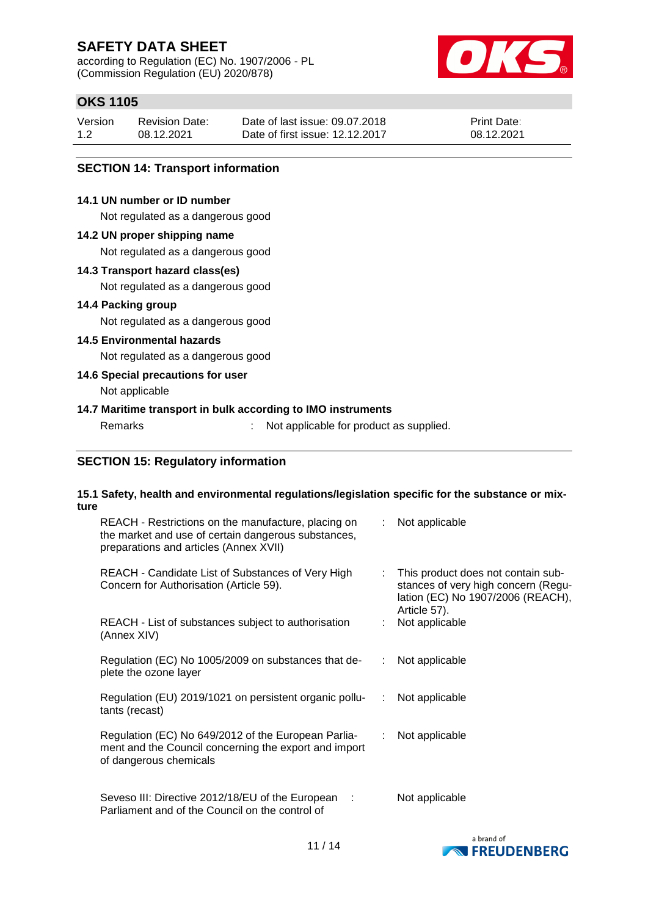according to Regulation (EC) No. 1907/2006 - PL (Commission Regulation (EU) 2020/878)



# **OKS 1105**

| Version | <b>Revision Date:</b> | Date of last issue: 09.07.2018  | <b>Print Date:</b> |
|---------|-----------------------|---------------------------------|--------------------|
| 1.2     | 08.12.2021            | Date of first issue: 12.12.2017 | 08.12.2021         |

## **SECTION 14: Transport information**

## **14.1 UN number or ID number**

Not regulated as a dangerous good

#### **14.2 UN proper shipping name**

Not regulated as a dangerous good

#### **14.3 Transport hazard class(es)**

Not regulated as a dangerous good

### **14.4 Packing group**

Not regulated as a dangerous good

# **14.5 Environmental hazards**

Not regulated as a dangerous good

# **14.6 Special precautions for user**

Not applicable

## **14.7 Maritime transport in bulk according to IMO instruments**

Remarks : Not applicable for product as supplied.

## **SECTION 15: Regulatory information**

#### **15.1 Safety, health and environmental regulations/legislation specific for the substance or mixture**

| REACH - Restrictions on the manufacture, placing on<br>the market and use of certain dangerous substances,<br>preparations and articles (Annex XVII) |    | : Not applicable                                                                                                               |
|------------------------------------------------------------------------------------------------------------------------------------------------------|----|--------------------------------------------------------------------------------------------------------------------------------|
| REACH - Candidate List of Substances of Very High<br>Concern for Authorisation (Article 59).                                                         | t. | This product does not contain sub-<br>stances of very high concern (Regu-<br>lation (EC) No 1907/2006 (REACH),<br>Article 57). |
| REACH - List of substances subject to authorisation<br>(Annex XIV)                                                                                   |    | Not applicable                                                                                                                 |
| Regulation (EC) No 1005/2009 on substances that de-<br>plete the ozone layer                                                                         |    | : Not applicable                                                                                                               |
| Regulation (EU) 2019/1021 on persistent organic pollu-<br>tants (recast)                                                                             | ÷. | Not applicable                                                                                                                 |
| Regulation (EC) No 649/2012 of the European Parlia-<br>ment and the Council concerning the export and import<br>of dangerous chemicals               |    | : Not applicable                                                                                                               |
| Seveso III: Directive 2012/18/EU of the European :<br>Parliament and of the Council on the control of                                                |    | Not applicable                                                                                                                 |

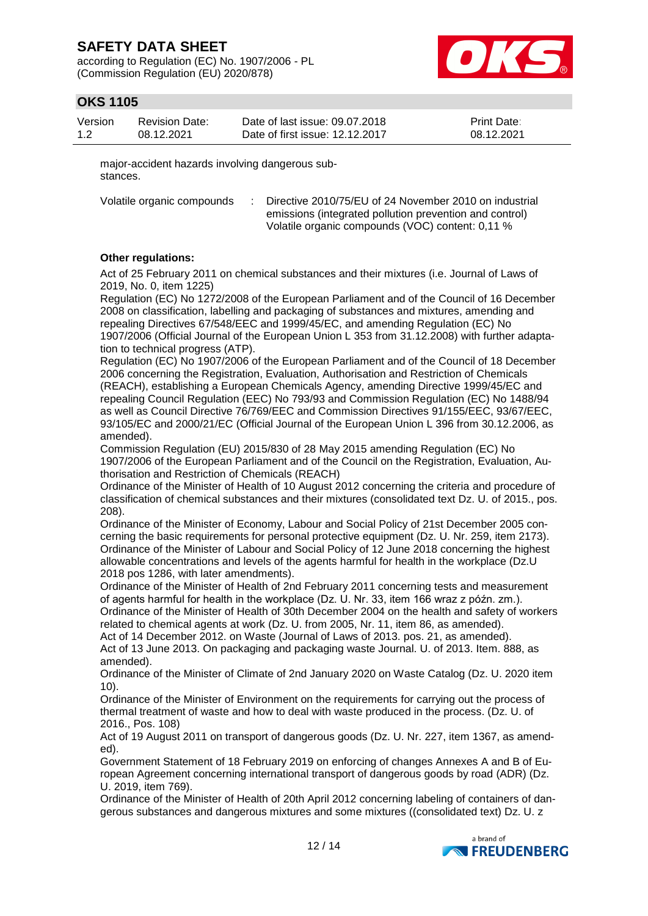according to Regulation (EC) No. 1907/2006 - PL (Commission Regulation (EU) 2020/878)



# **OKS 1105**

| Version | <b>Revision Date:</b> | Date of last issue: 09.07.2018  | <b>Print Date:</b> |
|---------|-----------------------|---------------------------------|--------------------|
| 1.2     | 08.12.2021            | Date of first issue: 12.12.2017 | 08.12.2021         |

major-accident hazards involving dangerous substances.

Volatile organic compounds : Directive 2010/75/EU of 24 November 2010 on industrial emissions (integrated pollution prevention and control) Volatile organic compounds (VOC) content: 0,11 %

## **Other regulations:**

Act of 25 February 2011 on chemical substances and their mixtures (i.e. Journal of Laws of 2019, No. 0, item 1225)

Regulation (EC) No 1272/2008 of the European Parliament and of the Council of 16 December 2008 on classification, labelling and packaging of substances and mixtures, amending and repealing Directives 67/548/EEC and 1999/45/EC, and amending Regulation (EC) No 1907/2006 (Official Journal of the European Union L 353 from 31.12.2008) with further adaptation to technical progress (ATP).

Regulation (EC) No 1907/2006 of the European Parliament and of the Council of 18 December 2006 concerning the Registration, Evaluation, Authorisation and Restriction of Chemicals (REACH), establishing a European Chemicals Agency, amending Directive 1999/45/EC and repealing Council Regulation (EEC) No 793/93 and Commission Regulation (EC) No 1488/94 as well as Council Directive 76/769/EEC and Commission Directives 91/155/EEC, 93/67/EEC, 93/105/EC and 2000/21/EC (Official Journal of the European Union L 396 from 30.12.2006, as amended).

Commission Regulation (EU) 2015/830 of 28 May 2015 amending Regulation (EC) No 1907/2006 of the European Parliament and of the Council on the Registration, Evaluation, Authorisation and Restriction of Chemicals (REACH)

Ordinance of the Minister of Health of 10 August 2012 concerning the criteria and procedure of classification of chemical substances and their mixtures (consolidated text Dz. U. of 2015., pos. 208).

Ordinance of the Minister of Economy, Labour and Social Policy of 21st December 2005 concerning the basic requirements for personal protective equipment (Dz. U. Nr. 259, item 2173). Ordinance of the Minister of Labour and Social Policy of 12 June 2018 concerning the highest allowable concentrations and levels of the agents harmful for health in the workplace (Dz.U 2018 pos 1286, with later amendments).

Ordinance of the Minister of Health of 2nd February 2011 concerning tests and measurement of agents harmful for health in the workplace (Dz. U. Nr. 33, item 166 wraz z późn. zm.).

Ordinance of the Minister of Health of 30th December 2004 on the health and safety of workers related to chemical agents at work (Dz. U. from 2005, Nr. 11, item 86, as amended).

Act of 14 December 2012. on Waste (Journal of Laws of 2013. pos. 21, as amended). Act of 13 June 2013. On packaging and packaging waste Journal. U. of 2013. Item. 888, as amended).

Ordinance of the Minister of Climate of 2nd January 2020 on Waste Catalog (Dz. U. 2020 item 10).

Ordinance of the Minister of Environment on the requirements for carrying out the process of thermal treatment of waste and how to deal with waste produced in the process. (Dz. U. of 2016., Pos. 108)

Act of 19 August 2011 on transport of dangerous goods (Dz. U. Nr. 227, item 1367, as amended).

Government Statement of 18 February 2019 on enforcing of changes Annexes A and B of European Agreement concerning international transport of dangerous goods by road (ADR) (Dz. U. 2019, item 769).

Ordinance of the Minister of Health of 20th April 2012 concerning labeling of containers of dangerous substances and dangerous mixtures and some mixtures ((consolidated text) Dz. U. z

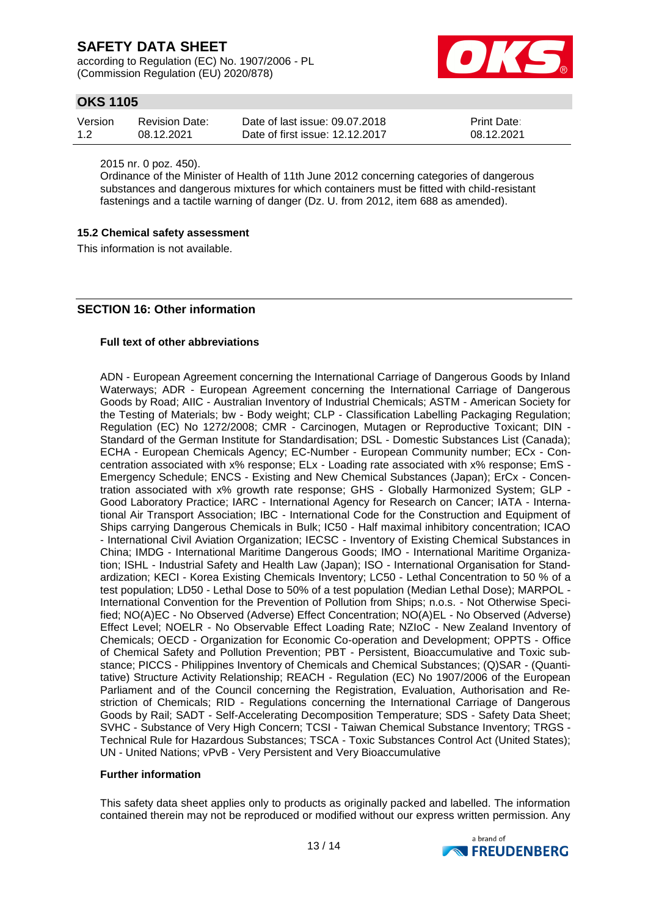according to Regulation (EC) No. 1907/2006 - PL (Commission Regulation (EU) 2020/878)



# **OKS 1105**

| Version | Revision Date: | Date of last issue: 09.07.2018  | <b>Print Date:</b> |
|---------|----------------|---------------------------------|--------------------|
| 1.2     | 08.12.2021     | Date of first issue: 12.12.2017 | 08.12.2021         |

2015 nr. 0 poz. 450).

Ordinance of the Minister of Health of 11th June 2012 concerning categories of dangerous substances and dangerous mixtures for which containers must be fitted with child-resistant fastenings and a tactile warning of danger (Dz. U. from 2012, item 688 as amended).

#### **15.2 Chemical safety assessment**

This information is not available.

# **SECTION 16: Other information**

#### **Full text of other abbreviations**

ADN - European Agreement concerning the International Carriage of Dangerous Goods by Inland Waterways; ADR - European Agreement concerning the International Carriage of Dangerous Goods by Road; AIIC - Australian Inventory of Industrial Chemicals; ASTM - American Society for the Testing of Materials; bw - Body weight; CLP - Classification Labelling Packaging Regulation; Regulation (EC) No 1272/2008; CMR - Carcinogen, Mutagen or Reproductive Toxicant: DIN -Standard of the German Institute for Standardisation; DSL - Domestic Substances List (Canada); ECHA - European Chemicals Agency; EC-Number - European Community number; ECx - Concentration associated with x% response; ELx - Loading rate associated with x% response; EmS - Emergency Schedule; ENCS - Existing and New Chemical Substances (Japan); ErCx - Concentration associated with x% growth rate response; GHS - Globally Harmonized System; GLP - Good Laboratory Practice; IARC - International Agency for Research on Cancer; IATA - International Air Transport Association; IBC - International Code for the Construction and Equipment of Ships carrying Dangerous Chemicals in Bulk; IC50 - Half maximal inhibitory concentration; ICAO - International Civil Aviation Organization; IECSC - Inventory of Existing Chemical Substances in China; IMDG - International Maritime Dangerous Goods; IMO - International Maritime Organization; ISHL - Industrial Safety and Health Law (Japan); ISO - International Organisation for Standardization; KECI - Korea Existing Chemicals Inventory; LC50 - Lethal Concentration to 50 % of a test population; LD50 - Lethal Dose to 50% of a test population (Median Lethal Dose); MARPOL - International Convention for the Prevention of Pollution from Ships; n.o.s. - Not Otherwise Specified; NO(A)EC - No Observed (Adverse) Effect Concentration; NO(A)EL - No Observed (Adverse) Effect Level; NOELR - No Observable Effect Loading Rate; NZIoC - New Zealand Inventory of Chemicals; OECD - Organization for Economic Co-operation and Development; OPPTS - Office of Chemical Safety and Pollution Prevention; PBT - Persistent, Bioaccumulative and Toxic substance; PICCS - Philippines Inventory of Chemicals and Chemical Substances; (Q)SAR - (Quantitative) Structure Activity Relationship; REACH - Regulation (EC) No 1907/2006 of the European Parliament and of the Council concerning the Registration, Evaluation, Authorisation and Restriction of Chemicals; RID - Regulations concerning the International Carriage of Dangerous Goods by Rail; SADT - Self-Accelerating Decomposition Temperature; SDS - Safety Data Sheet; SVHC - Substance of Very High Concern; TCSI - Taiwan Chemical Substance Inventory; TRGS - Technical Rule for Hazardous Substances; TSCA - Toxic Substances Control Act (United States); UN - United Nations; vPvB - Very Persistent and Very Bioaccumulative

#### **Further information**

This safety data sheet applies only to products as originally packed and labelled. The information contained therein may not be reproduced or modified without our express written permission. Any